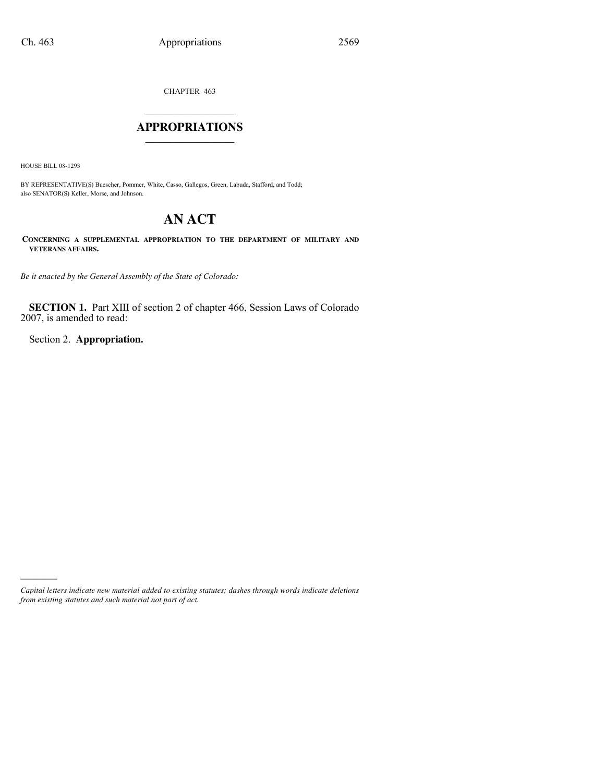CHAPTER 463

## $\mathcal{L}_\text{max}$  , where  $\mathcal{L}_\text{max}$ **APPROPRIATIONS** \_\_\_\_\_\_\_\_\_\_\_\_\_\_\_

HOUSE BILL 08-1293

)))))

BY REPRESENTATIVE(S) Buescher, Pommer, White, Casso, Gallegos, Green, Labuda, Stafford, and Todd; also SENATOR(S) Keller, Morse, and Johnson.

# **AN ACT**

**CONCERNING A SUPPLEMENTAL APPROPRIATION TO THE DEPARTMENT OF MILITARY AND VETERANS AFFAIRS.**

*Be it enacted by the General Assembly of the State of Colorado:*

**SECTION 1.** Part XIII of section 2 of chapter 466, Session Laws of Colorado 2007, is amended to read:

Section 2. **Appropriation.**

*Capital letters indicate new material added to existing statutes; dashes through words indicate deletions from existing statutes and such material not part of act.*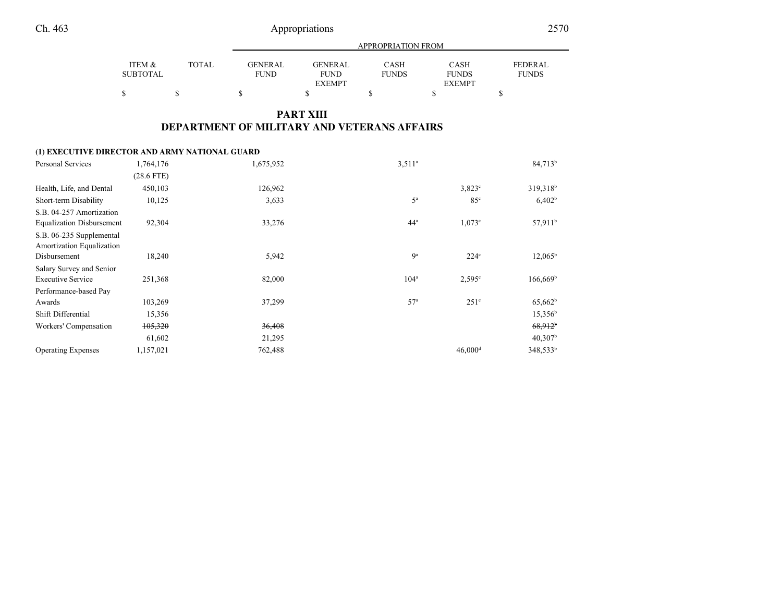Appropriations

٠

|                 |       |             | APPROPRIATION FROM |              |               |                |  |
|-----------------|-------|-------------|--------------------|--------------|---------------|----------------|--|
| ITEM &          | TOTAL | GENERAL     | GENERAL            | <b>CASH</b>  | <b>CASH</b>   | <b>FEDERAL</b> |  |
| <b>SUBTOTAL</b> |       | <b>FUND</b> | <b>FUND</b>        | <b>FUNDS</b> | <b>FUNDS</b>  | <b>FUNDS</b>   |  |
|                 |       |             | <b>EXEMPT</b>      |              | <b>EXEMPT</b> |                |  |
|                 |       |             |                    |              |               |                |  |

### **PART XIIIDEPARTMENT OF MILITARY AND VETERANS AFFAIRS**

#### **(1) EXECUTIVE DIRECTOR AND ARMY NATIONAL GUARD**

| Personal Services                | 1,764,176    | 1,675,952 | $3,511^a$        |                       | $84,713^b$            |
|----------------------------------|--------------|-----------|------------------|-----------------------|-----------------------|
|                                  | $(28.6$ FTE) |           |                  |                       |                       |
| Health, Life, and Dental         | 450,103      | 126,962   |                  | $3.823$ °             | 319,318 <sup>b</sup>  |
| Short-term Disability            | 10,125       | 3,633     | $5^{\mathrm{a}}$ | 85 <sup>c</sup>       | 6,402 <sup>b</sup>    |
| S.B. 04-257 Amortization         |              |           |                  |                       |                       |
| <b>Equalization Disbursement</b> | 92,304       | 33,276    | 44 <sup>a</sup>  | $1,073^{\circ}$       | 57,911 <sup>b</sup>   |
| S.B. 06-235 Supplemental         |              |           |                  |                       |                       |
| Amortization Equalization        |              |           |                  |                       |                       |
| Disbursement                     | 18,240       | 5,942     | 9 <sup>a</sup>   | $224^{\circ}$         | $12,065^{\rm b}$      |
| Salary Survey and Senior         |              |           |                  |                       |                       |
| <b>Executive Service</b>         | 251,368      | 82,000    | 104 <sup>a</sup> | $2,595^\circ$         | $166,669^b$           |
| Performance-based Pay            |              |           |                  |                       |                       |
| Awards                           | 103,269      | 37,299    | 57 <sup>a</sup>  | $251^\circ$           | $65,662^b$            |
| Shift Differential               | 15,356       |           |                  |                       | $15,356^b$            |
| Workers' Compensation            | 105,320      | 36,408    |                  |                       | $68,912$ <sup>b</sup> |
|                                  | 61,602       | 21,295    |                  |                       | $40,307^{\rm b}$      |
| <b>Operating Expenses</b>        | 1,157,021    | 762,488   |                  | $46,000$ <sup>d</sup> | $348,533^b$           |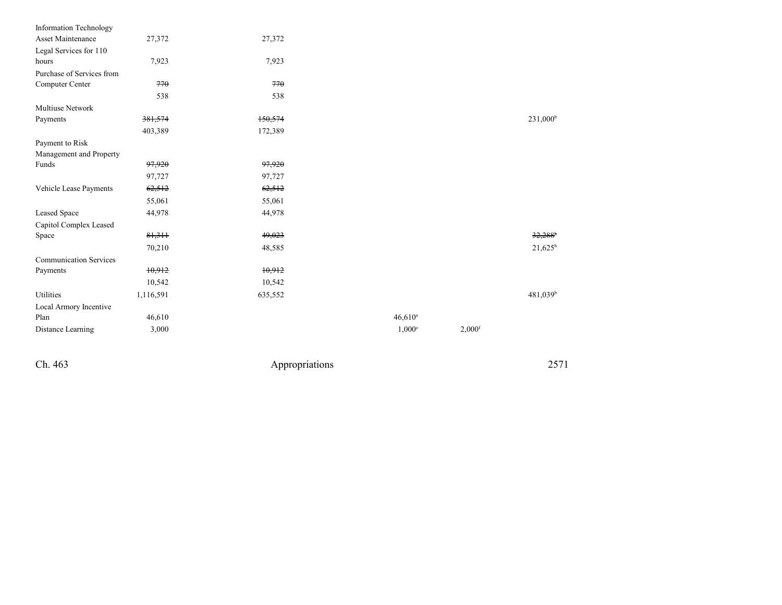| Information Technology        |           |         |               |                      |                      |
|-------------------------------|-----------|---------|---------------|----------------------|----------------------|
| Asset Maintenance             | 27,372    | 27,372  |               |                      |                      |
| Legal Services for 110        |           |         |               |                      |                      |
| hours                         | 7,923     | 7,923   |               |                      |                      |
| Purchase of Services from     |           |         |               |                      |                      |
| Computer Center               | 770       | 770     |               |                      |                      |
|                               | 538       | 538     |               |                      |                      |
| <b>Multiuse Network</b>       |           |         |               |                      |                      |
| Payments                      | 381,574   | 150,574 |               |                      | $231,000^b$          |
|                               | 403,389   | 172,389 |               |                      |                      |
| Payment to Risk               |           |         |               |                      |                      |
| Management and Property       |           |         |               |                      |                      |
| Funds                         | 97,920    | 97,920  |               |                      |                      |
|                               | 97,727    | 97,727  |               |                      |                      |
| Vehicle Lease Payments        | 62,512    | 62,512  |               |                      |                      |
|                               | 55,061    | 55,061  |               |                      |                      |
| Leased Space                  | 44,978    | 44,978  |               |                      |                      |
| Capitol Complex Leased        |           |         |               |                      |                      |
| Space                         | 81,311    | 49,023  |               |                      | 32,288               |
|                               | 70,210    | 48,585  |               |                      | $21,625^b$           |
| <b>Communication Services</b> |           |         |               |                      |                      |
| Payments                      | 10,912    | 10,912  |               |                      |                      |
|                               | 10,542    | 10,542  |               |                      |                      |
| Utilities                     | 1,116,591 | 635,552 |               |                      | 481,039 <sup>b</sup> |
| Local Armory Incentive        |           |         |               |                      |                      |
| Plan                          | 46,610    |         | $46,610^a$    |                      |                      |
| Distance Learning             | 3,000     |         | $1,000^\circ$ | $2,000$ <sup>f</sup> |                      |
|                               |           |         |               |                      |                      |

Ch. 463

Appropriations <sup>2571</sup>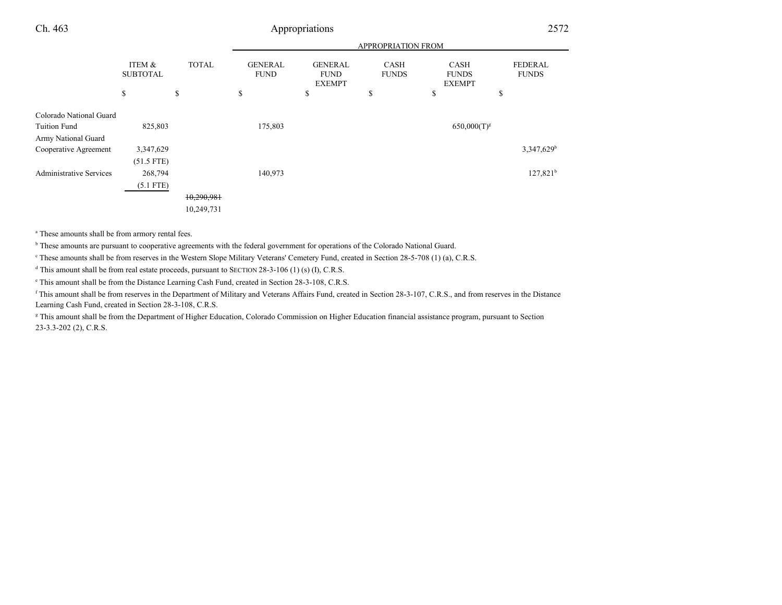### 3 Appropriations 2572

|                                                |                           |              | APPROPRIATION FROM            |                                                |                             |                                              |                                |
|------------------------------------------------|---------------------------|--------------|-------------------------------|------------------------------------------------|-----------------------------|----------------------------------------------|--------------------------------|
|                                                | ITEM &<br><b>SUBTOTAL</b> | <b>TOTAL</b> | <b>GENERAL</b><br><b>FUND</b> | <b>GENERAL</b><br><b>FUND</b><br><b>EXEMPT</b> | <b>CASH</b><br><b>FUNDS</b> | <b>CASH</b><br><b>FUNDS</b><br><b>EXEMPT</b> | <b>FEDERAL</b><br><b>FUNDS</b> |
|                                                | \$                        | \$           | \$                            | \$                                             | S                           | \$                                           | \$                             |
| Colorado National Guard<br><b>Tuition Fund</b> | 825,803                   |              | 175,803                       |                                                |                             | $650,000(T)^{g}$                             |                                |
| Army National Guard                            |                           |              |                               |                                                |                             |                                              |                                |
| Cooperative Agreement                          | 3,347,629                 |              |                               |                                                |                             |                                              | $3,347,629$ <sup>b</sup>       |
|                                                | $(51.5$ FTE)              |              |                               |                                                |                             |                                              |                                |
| <b>Administrative Services</b>                 | 268,794                   |              | 140,973                       |                                                |                             |                                              | $127,821^b$                    |
|                                                | $(5.1$ FTE)               |              |                               |                                                |                             |                                              |                                |
|                                                |                           | 10,290,981   |                               |                                                |                             |                                              |                                |
|                                                |                           | 10,249,731   |                               |                                                |                             |                                              |                                |

a These amounts shall be from armory rental fees.

<sup>b</sup> These amounts are pursuant to cooperative agreements with the federal government for operations of the Colorado National Guard.

<sup>e</sup> These amounts shall be from reserves in the Western Slope Military Veterans' Cemetery Fund, created in Section 28-5-708 (1) (a), C.R.S.

<sup>d</sup> This amount shall be from real estate proceeds, pursuant to SECTION 28-3-106 (1) (s) (I), C.R.S.

e This amount shall be from the Distance Learning Cash Fund, created in Section 28-3-108, C.R.S.

<sup>f</sup> This amount shall be from reserves in the Department of Military and Veterans Affairs Fund, created in Section 28-3-107, C.R.S., and from reserves in the DistanceLearning Cash Fund, created in Section 28-3-108, C.R.S.

<sup>g</sup> This amount shall be from the Department of Higher Education, Colorado Commission on Higher Education financial assistance program, pursuant to Section 23-3.3-202 (2), C.R.S.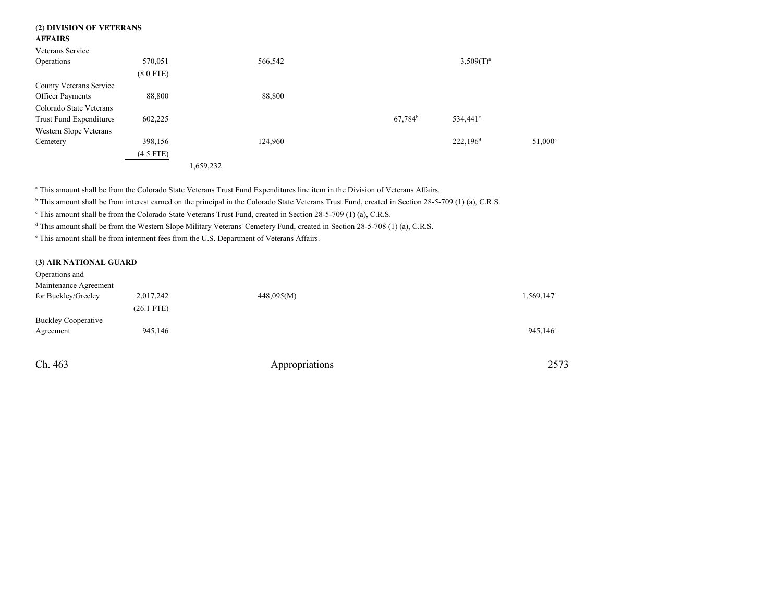| (2) DIVISION OF VETERANS       |             |           |         |            |              |                  |
|--------------------------------|-------------|-----------|---------|------------|--------------|------------------|
| <b>AFFAIRS</b>                 |             |           |         |            |              |                  |
| Veterans Service               |             |           |         |            |              |                  |
| Operations                     | 570,051     |           | 566,542 |            | $3,509(T)^a$ |                  |
|                                | $(8.0$ FTE) |           |         |            |              |                  |
| County Veterans Service        |             |           |         |            |              |                  |
| <b>Officer Payments</b>        | 88,800      |           | 88,800  |            |              |                  |
| Colorado State Veterans        |             |           |         |            |              |                  |
| <b>Trust Fund Expenditures</b> | 602,225     |           |         | $67,784^b$ | $534,441$ °  |                  |
| Western Slope Veterans         |             |           |         |            |              |                  |
| Cemetery                       | 398,156     |           | 124,960 |            | $222,196^d$  | $51,000^{\circ}$ |
|                                | $(4.5$ FTE) |           |         |            |              |                  |
|                                |             | 1,659,232 |         |            |              |                  |

<sup>a</sup> This amount shall be from the Colorado State Veterans Trust Fund Expenditures line item in the Division of Veterans Affairs.

<sup>b</sup> This amount shall be from interest earned on the principal in the Colorado State Veterans Trust Fund, created in Section 28-5-709 (1) (a), C.R.S.

<sup>c</sup> This amount shall be from the Colorado State Veterans Trust Fund, created in Section 28-5-709 (1) (a), C.R.S.

<sup>d</sup> This amount shall be from the Western Slope Military Veterans' Cemetery Fund, created in Section 28-5-708 (1) (a), C.R.S.

e This amount shall be from interment fees from the U.S. Department of Veterans Affairs.

#### **(3) AIR NATIONAL GUARD**

Ch. 463

| Operations and             |              |            |                        |
|----------------------------|--------------|------------|------------------------|
| Maintenance Agreement      |              |            |                        |
| for Buckley/Greeley        | 2,017,242    | 448,095(M) | 1,569,147 <sup>a</sup> |
|                            | $(26.1$ FTE) |            |                        |
| <b>Buckley Cooperative</b> |              |            |                        |
| Agreement                  | 945,146      |            | $945,146^{\circ}$      |
|                            |              |            |                        |
|                            |              |            |                        |

Appropriations <sup>2573</sup>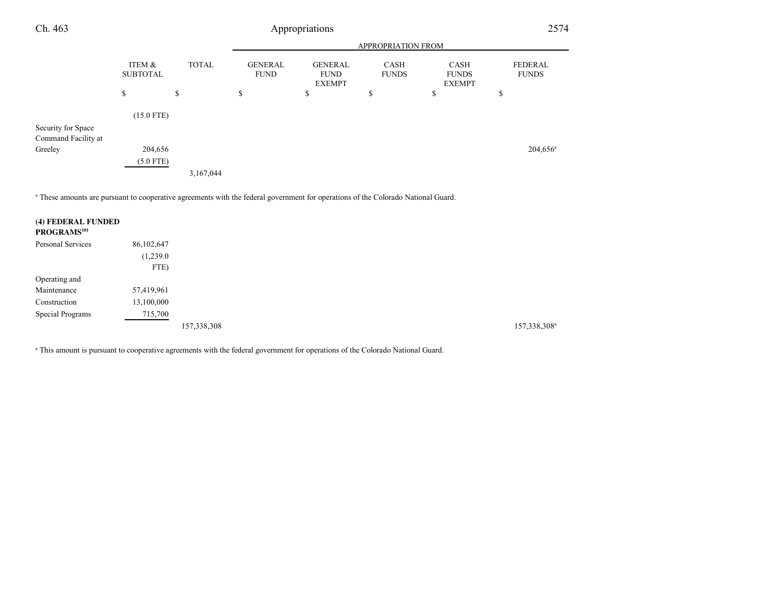| Ch. 463             | Appropriations            |              |                               |                                                |                             |                                              | 2574                           |  |
|---------------------|---------------------------|--------------|-------------------------------|------------------------------------------------|-----------------------------|----------------------------------------------|--------------------------------|--|
|                     |                           |              | APPROPRIATION FROM            |                                                |                             |                                              |                                |  |
|                     | ITEM &<br><b>SUBTOTAL</b> | <b>TOTAL</b> | <b>GENERAL</b><br><b>FUND</b> | <b>GENERAL</b><br><b>FUND</b><br><b>EXEMPT</b> | <b>CASH</b><br><b>FUNDS</b> | <b>CASH</b><br><b>FUNDS</b><br><b>EXEMPT</b> | <b>FEDERAL</b><br><b>FUNDS</b> |  |
|                     | \$                        | \$           | \$                            | \$                                             | \$                          | \$                                           | \$                             |  |
|                     | $(15.0$ FTE)              |              |                               |                                                |                             |                                              |                                |  |
| Security for Space  |                           |              |                               |                                                |                             |                                              |                                |  |
| Command Facility at |                           |              |                               |                                                |                             |                                              |                                |  |
| Greeley             | 204,656                   |              |                               |                                                |                             |                                              | $204,656^{\circ}$              |  |
|                     | $(5.0$ FTE)               |              |                               |                                                |                             |                                              |                                |  |
|                     |                           | 3,167,044    |                               |                                                |                             |                                              |                                |  |

a These amounts are pursuant to cooperative agreements with the federal government for operations of the Colorado National Guard.

| (4) FEDERAL FUNDED<br>PROGRAMS <sup>101</sup> |            |             |             |
|-----------------------------------------------|------------|-------------|-------------|
| Personal Services                             | 86,102,647 |             |             |
|                                               | (1,239.0)  |             |             |
|                                               | FTE)       |             |             |
| Operating and                                 |            |             |             |
| Maintenance                                   | 57,419,961 |             |             |
| Construction                                  | 13,100,000 |             |             |
| Special Programs                              | 715,700    |             |             |
|                                               |            | 157,338,308 | 157,338,308 |

<sup>a</sup> This amount is pursuant to cooperative agreements with the federal government for operations of the Colorado National Guard.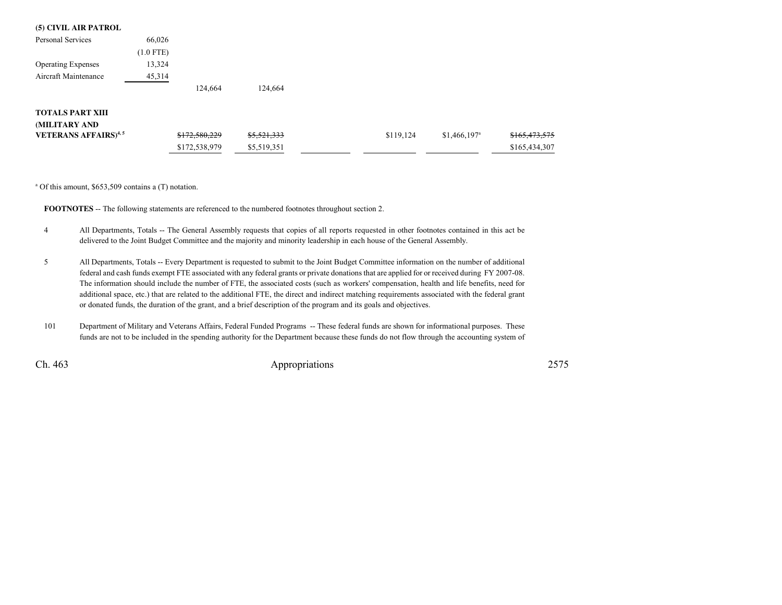#### **(5) CIVIL AIR PATROL**

| Personal Services                       | 66,026      |               |             |           |                           |               |
|-----------------------------------------|-------------|---------------|-------------|-----------|---------------------------|---------------|
|                                         | $(1.0$ FTE) |               |             |           |                           |               |
| <b>Operating Expenses</b>               | 13,324      |               |             |           |                           |               |
| Aircraft Maintenance                    | 45,314      |               |             |           |                           |               |
|                                         |             | 124,664       | 124,664     |           |                           |               |
| <b>TOTALS PART XIII</b>                 |             |               |             |           |                           |               |
| (MILITARY AND                           |             |               |             |           |                           |               |
| <b>VETERANS AFFAIRS)</b> <sup>4,5</sup> |             | \$172,580,229 | \$5,521,333 | \$119,124 | $$1,466,197$ <sup>a</sup> | \$165,473,575 |
|                                         |             | \$172,538,979 | \$5,519,351 |           |                           | \$165,434,307 |

a Of this amount, \$653,509 contains a (T) notation.

**FOOTNOTES** -- The following statements are referenced to the numbered footnotes throughout section 2.

- <sup>4</sup> All Departments, Totals -- The General Assembly requests that copies of all reports requested in other footnotes contained in this act be delivered to the Joint Budget Committee and the majority and minority leadership in each house of the General Assembly.
- <sup>5</sup> All Departments, Totals -- Every Department is requested to submit to the Joint Budget Committee information on the number of additional federal and cash funds exempt FTE associated with any federal grants or private donations that are applied for or received during FY 2007-08.The information should include the number of FTE, the associated costs (such as workers' compensation, health and life benefits, need for additional space, etc.) that are related to the additional FTE, the direct and indirect matching requirements associated with the federal grantor donated funds, the duration of the grant, and a brief description of the program and its goals and objectives.
- <sup>101</sup> Department of Military and Veterans Affairs, Federal Funded Programs -- These federal funds are shown for informational purposes. These funds are not to be included in the spending authority for the Department because these funds do not flow through the accounting system of

Ch. 463

3 Appropriations 2575